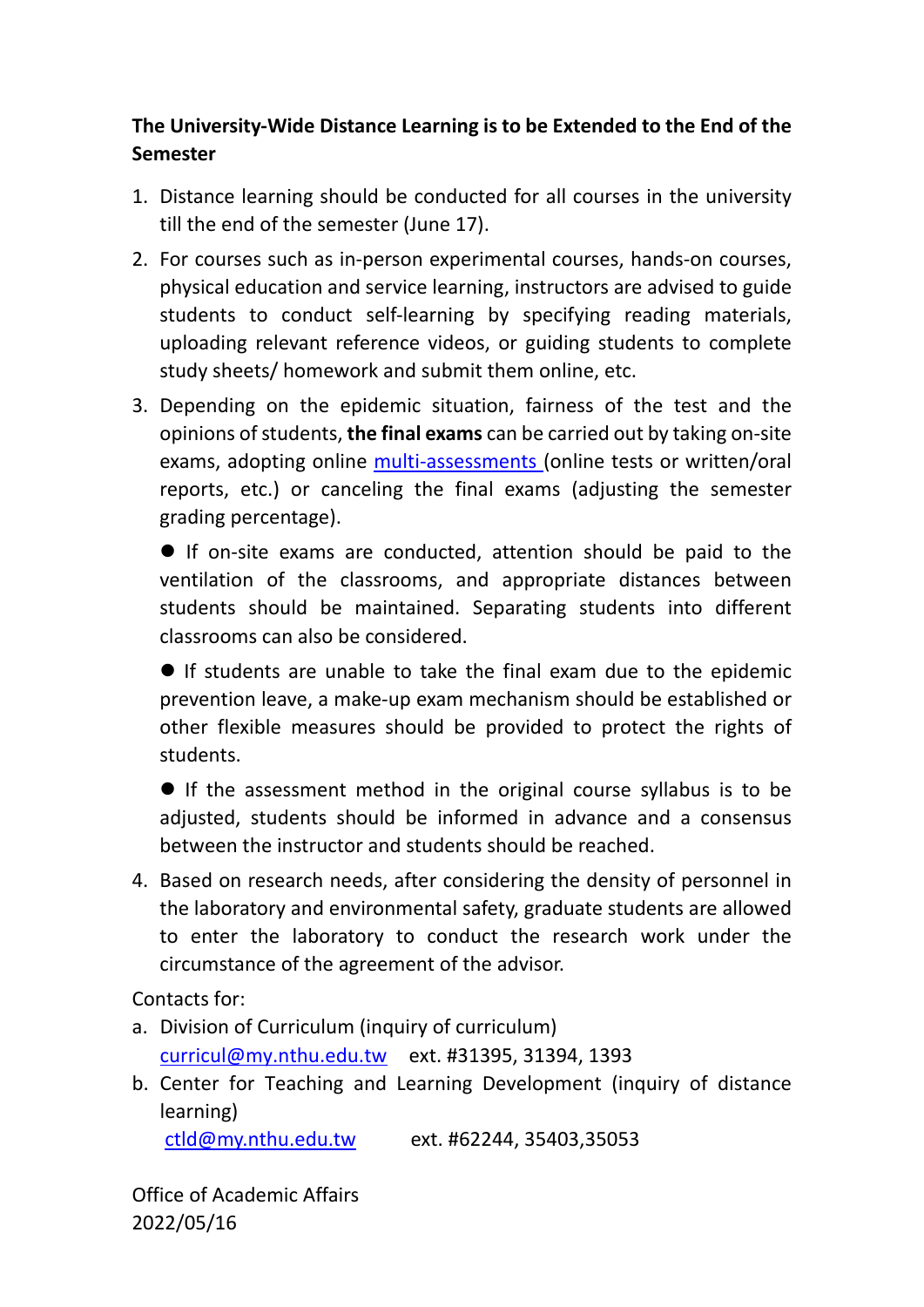## **The University‐Wide Distance Learning is to be Extended to the End of the Semester**

- 1. Distance learning should be conducted for all courses in the university till the end of the semester (June 17).
- 2. For courses such as in‐person experimental courses, hands‐on courses, physical education and service learning, instructors are advised to guide students to conduct self-learning by specifying reading materials, uploading relevant reference videos, or guiding students to complete study sheets/ homework and submit them online, etc.
- 3. Depending on the epidemic situation, fairness of the test and the opinions of students, **the final exams** can be carried out by taking on‐site exams, adopting online multi-assessments (online tests or written/oral reports, etc.) or canceling the final exams (adjusting the semester grading percentage).

■ If on-site exams are conducted, attention should be paid to the ventilation of the classrooms, and appropriate distances between students should be maintained. Separating students into different classrooms can also be considered.

 If students are unable to take the final exam due to the epidemic prevention leave, a make‐up exam mechanism should be established or other flexible measures should be provided to protect the rights of students.

 If the assessment method in the original course syllabus is to be adjusted, students should be informed in advance and a consensus between the instructor and students should be reached.

4. Based on research needs, after considering the density of personnel in the laboratory and environmental safety, graduate students are allowed to enter the laboratory to conduct the research work under the circumstance of the agreement of the advisor.

Contacts for:

- a. Division of Curriculum (inquiry of curriculum) curricul@my.nthu.edu.tw ext. #31395, 31394, 1393
- b. Center for Teaching and Learning Development (inquiry of distance learning)

ctld@my.nthu.edu.tw ext. #62244, 35403,35053

Office of Academic Affairs 2022/05/16